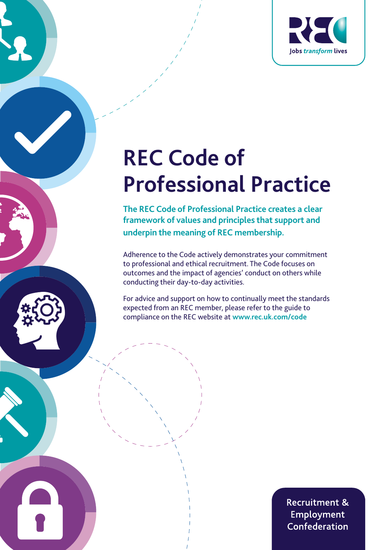

# **REC Code of Professional Practice**

**The REC Code of Professional Practice creates a clear framework of values and principles that support and underpin the meaning of REC membership.**

Adherence to the Code actively demonstrates your commitment to professional and ethical recruitment. The Code focuses on outcomes and the impact of agencies' conduct on others while conducting their day-to-day activities.

For advice and support on how to continually meet the standards expected from an REC member, please refer to the guide to compliance on the REC website at **www.rec.uk.com/code**

> **Recruitment & Employment** Confederation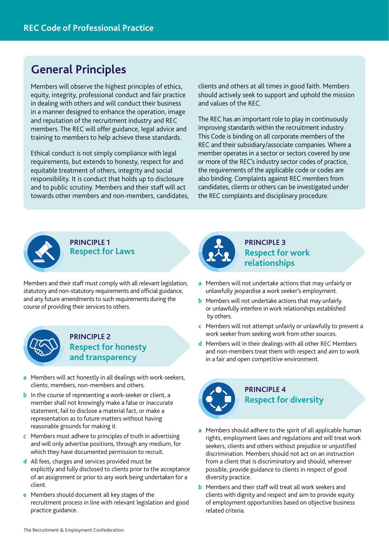# **General Principles**

Members will observe the highest principles of ethics, equity, integrity, professional conduct and fair practice in dealing with others and will conduct their business in a manner designed to enhance the operation, image and reputation of the recruitment industry and REC members. The REC will offer guidance, legal advice and training to members to help achieve these standards.

Ethical conduct is not simply compliance with legal requirements, but extends to honesty, respect for and equitable treatment of others, integrity and social responsibility. It is conduct that holds up to disclosure and to public scrutiny. Members and their staff will act towards other members and non-members, candidates,

clients and others at all times in good faith. Members should actively seek to support and uphold the mission and values of the REC.

The REC has an important role to play in continuously improving standards within the recruitment industry. This Code is binding on all corporate members of the REC and their subsidiary/associate companies. Where a member operates in a sector or sectors covered by one or more of the REC's industry sector codes of practice, the requirements of the applicable code or codes are also binding. Complaints against REC members from candidates, clients or others can be investigated under the REC complaints and disciplinary procedure.



**PRINCIPLE 1 Respect for Laws**

Members and their staff must comply with all relevant legislation, statutory and non-statutory requirements and official guidance, and any future amendments to such requirements during the course of providing their services to others.



#### **PRINCIPLE 2 Respect for honesty and transparency**

- **a** Members will act honestly in all dealings with work-seekers, clients, members, non-members and others.
- **b** In the course of representing a work-seeker or client, a member shall not knowingly make a false or inaccurate statement, fail to disclose a material fact, or make a representation as to future matters without having reasonable grounds for making it.
- **c** Members must adhere to principles of truth in advertising and will only advertise positions, through any medium, for which they have documented permission to recruit.
- **d** All fees, charges and services provided must be explicitly and fully disclosed to clients prior to the acceptance of an assignment or prior to any work being undertaken for a client.
- **e** Members should document all key stages of the recruitment process in line with relevant legislation and good practice guidance.



#### **PRINCIPLE 3 Respect for work relationships**

- **a** Members will not undertake actions that may unfairly or unlawfully jeopardise a work seeker's employment.
- **b** Members will not undertake actions that may unfairly or unlawfully interfere in work relationships established by others.
- **c** Members will not attempt unfairly or unlawfully to prevent a work seeker from seeking work from other sources.
- **d** Members will in their dealings with all other REC Members and non-members treat them with respect and aim to work in a fair and open competitive environment.



#### **PRINCIPLE 4 Respect for diversity**

- **a** Members should adhere to the spirit of all applicable human rights, employment laws and regulations and will treat work seekers, clients and others without prejudice or unjustified discrimination. Members should not act on an instruction from a client that is discriminatory and should, wherever possible, provide guidance to clients in respect of good diversity practice.
- **b** Members and their staff will treat all work seekers and clients with dignity and respect and aim to provide equity of employment opportunities based on objective business related criteria.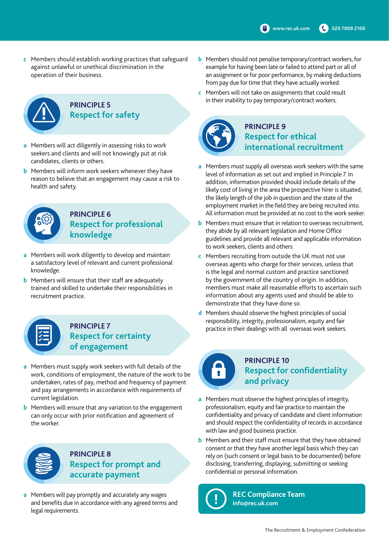**c** Members should establish working practices that safeguard against unlawful or unethical discrimination in the operation of their business.



## **PRINCIPLE 5 Respect for safety**

- **a** Members will act diligently in assessing risks to work seekers and clients and will not knowingly put at risk candidates, clients or others.
- **b** Members will inform work seekers whenever they have reason to believe that an engagement may cause a risk to health and safety.



#### **PRINCIPLE 6 Respect for professional knowledge**

- **a** Members will work diligently to develop and maintain a satisfactory level of relevant and current professional knowledge.
- **b** Members will ensure that their staff are adequately trained and skilled to undertake their responsibilities in recruitment practice.

| ý |
|---|
|   |
|   |

#### **PRINCIPLE 7 Respect for certainty of engagement**

- **a** Members must supply work seekers with full details of the work, conditions of employment, the nature of the work to be undertaken, rates of pay, method and frequency of payment and pay arrangements in accordance with requirements of current legislation.
- **b** Members will ensure that any variation to the engagement can only occur with prior notification and agreement of the worker.



**PRINCIPLE 8 Respect for prompt and accurate payment**

**a** Members will pay promptly and accurately any wages and benefits due in accordance with any agreed terms and legal requirements.

- **b** Members should not penalise temporary/contract workers, for example for having been late or failed to attend part or all of an assignment or for poor performance, by making deductions from pay due for time that they have actually worked.
- **c** Members will not take on assignments that could result in their inability to pay temporary/contract workers.



#### **PRINCIPLE 9 Respect for ethical international recruitment**

- **a** Members must supply all overseas work seekers with the same level of information as set out and implied in Principle 7. In addition, information provided should include details of the likely cost of living in the area the prospective hirer is situated, the likely length of the job in question and the state of the employment market in the field they are being recruited into. All information must be provided at no cost to the work seeker.
- **b** Members must ensure that in relation to overseas recruitment, they abide by all relevant legislation and Home Office guidelines and provide all relevant and applicable information to work seekers, clients and others.
- **c** Members recruiting from outside the UK must not use overseas agents who charge for their services, unless that is the legal and normal custom and practice sanctioned by the government of the country of origin. In addition, members must make all reasonable efforts to ascertain such information about any agents used and should be able to demonstrate that they have done so.
- **d** Members should observe the highest principles of social responsibility, integrity, professionalism, equity and fair practice in their dealings with all overseas work seekers.



# **PRINCIPLE 10 Respect for confidentiality and privacy**

- **a** Members must observe the highest principles of integrity, professionalism, equity and fair practice to maintain the confidentiality and privacy of candidate and client information and should respect the confidentiality of records in accordance with law and good business practice.
- **b** Members and their staff must ensure that they have obtained consent or that they have another legal basis which they can rely on (such consent or legal basis to be documented) before disclosing, transferring, displaying, submitting or seeking confidential or personal information.



**REC Compliance Team info@rec.uk.com**